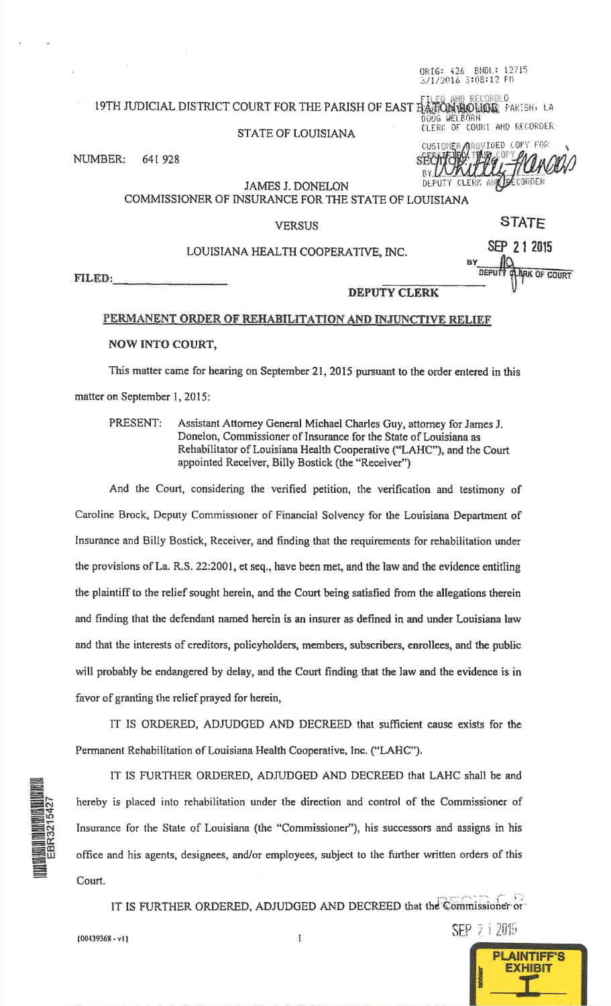ORIG: 426 BNDL: 12715 6/1/2016 3:08:12 PM

## 19TH JUDICIAL DISTRICT COURT FOR THE PARISH OF EAST BATON ROMAN BOLL FARISH, LA DOUG WELBORN

#### **STATE OF LOUISIANA**

NUMBER: 641 928 CUSTOMER AROWIDED COPY FOR DEFUTY CLERK ANY DECORDER

DEPUTY

SEP 7 1 2015

**PLAINTIFF'S EXHIBIT** 

CLERK OF COURT AND RECORDER

**JAMES J. DONELON** COMMISSIONER OF INSURANCE FOR THE STATE OF LOUISIANA

#### **VERSUS**

STATE

ARK OF COURT

SEP 2 1 2015

# LOUISIANA HEALTH COOPERATIVE, INC.

FILED:

#### **DEPUTY CLERK**

## PERMANENT ORDER OF REHABILITATION AND INJUNCTIVE RELIEF

### **NOW INTO COURT,**

This matter came for hearing on September 21, 2015 pursuant to the order entered in this matter on September 1, 2015:

PRESENT: Assistant Attorney General Michael Charles Guy, attorney for James J. Donelon, Commissioner of Insurance for the State of Louisiana as Rehabilitator of Louisiana Health Cooperative ("LAHC"), and the Court appointed Receiver, Billy Bostick (the "Receiver")

And the Court, considering the verified petition, the verification and testimony of Caroline Brock, Deputy Commissioner of Financial Solvency for the Louisiana Department of Insurance and Billy Bostick, Receiver, and finding that the requirements for rehabilitation under the provisions of La. R.S. 22:2001, et seq., have been met, and the law and the evidence entitling the plaintiff to the relief sought herein, and the Court being satisfied from the allegations therein and finding that the defendant named herein is an insurer as defined in and under Louisiana law and that the interests of creditors, policyholders, members, subscribers, enrollees, and the public will probably be endangered by delay, and the Court finding that the law and the evidence is in favor of granting the relief prayed for herein,

IT IS ORDERED, ADJUDGED AND DECREED that sufficient cause exists for the Permanent Rehabilitation of Louisiana Health Cooperative, Inc. ("LAHC").

IT IS FURTHER ORDERED, ADJUDGED AND DECREED that LAHC shall be and hereby is placed into rehabilitation under the direction and control of the Commissioner of Insurance for the State of Louisiana (the "Commissioner"), his successors and assigns in his office and his agents, designees, and/or employees, subject to the further written orders of this Court.

IT IS FURTHER ORDERED, ADJUDGED AND DECREED that the Commissioner or

 ${00439368 - v1}$ 

 $\mathbb I$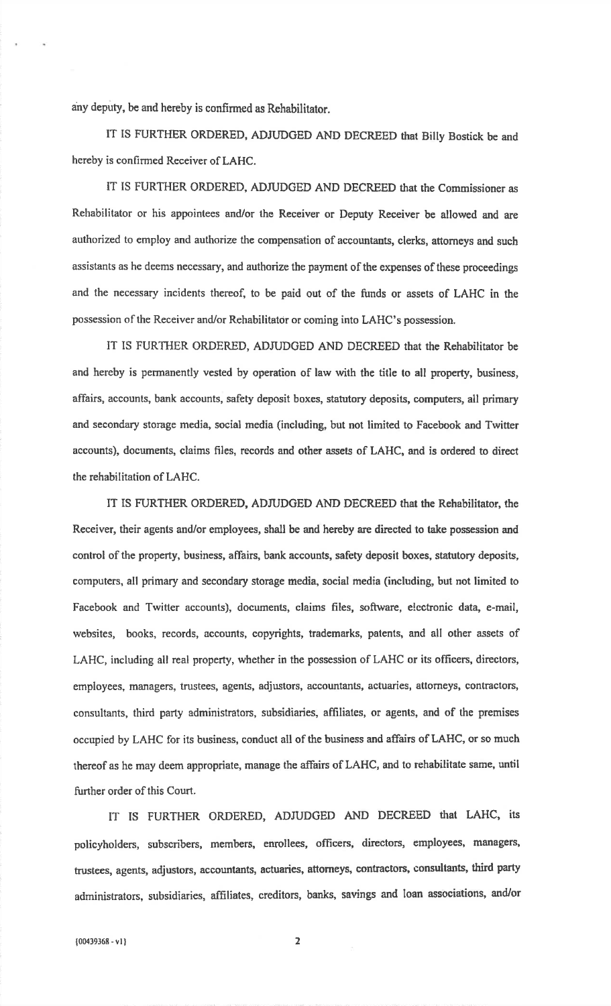any deputy, be and hereby is confirmed as Rehabilitator.

IT IS FURTHER ORDERED, ADJUDGED AND DECREED that Billy Bostick be and hereby is confirmed Receiver of LAHC.

IT IS FURTHER ORDERED, ADJUDGED AND DECREED that the Commissioner as Rehabilitator or his appointees and/or the Receiver or Deputy Receiver be allowed and are authorized to employ and authorize the compensation of accountants, clerks, attorneys and suchassistants as he deems necessary, and authorize the payment of the expenses of these proceedingsand the necessary incidents thereof, to be paid out of the funds or assets of LAHC in the possession of the Receiver and/or Rehabilitator or coming into LAHC's possession.

IT IS FURTHER ORDERED, ADJUDGED AND DECREED that the Rehabilitator be and hereby is permanently vested by operation of law with the title to all property, business,affairs, accounts, bank accounts, salety deposit boxes, statutory deposits, computers, all primaryand secondary storage media, social media (including, but not limited to Facebook and Twitteraccounts), documents, claims files, records and other assets of LAHC, and is ordered to direct the rehabilitation of LAHC.

IT IS FURTHER ORDERED, ADruDGED AND DECREED that the Rehabilitator, theReceiver, their agents and/or employees, shall be and hereby are directed to take possession andconlrol of the property, business, affairs, bank accounts, safety deposit boxes, statutory deposits,computers, all primary and secondary storage media, social media (including, but not limited to Facebook and Twitter accounts), documents, claims files, software, electronic data, e-mail, websites, books, records, accounts, copyrights, trademarks, patents, and all other assets ofLAHC, including all real property, whether in the possession of LAHC or its officers, directors,employees, managers, trustees, agents, adjustors, accountants, actuaries, attorneys, contractors, consultants, third party administrators, subsidiaries, affiliates, or agents, and of the premisesoccupied by LAHC for its business, conduct all of the business and affairs of LAHC, or so muchthereof as he may deem appropriate, manage the affairs of LAHC, and to rehabilitate same, until further order of this Court.

IT IS FURTHER ORDERED, ADJUDGED AND DECREED that LAHC, its policyholders, subscribers, members, enrollees, officers, directors, employees, managers, trustees, agents, adjustors, accountants, actuaries, attorneys, contractors, consuhants, third party administrators, subsidiaries, affiliates, creditors, banks, savings and loan associations, and/or

 $\overline{2}$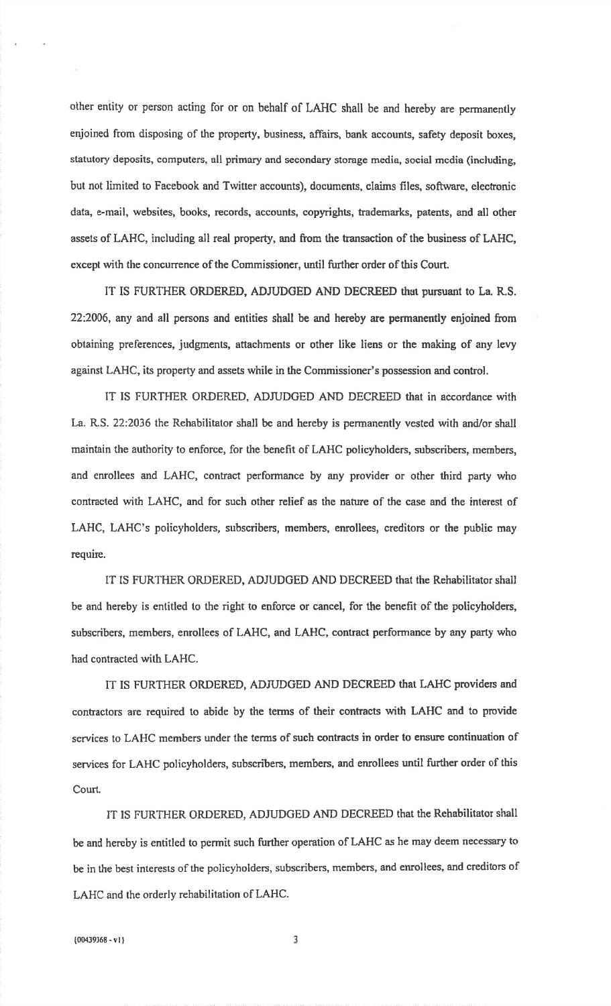other entity or person acting for or on behalf of LAHC shall be and hereby are permanently enjoined from disposing of the property, business, affairs, bank accounts, safety deposit boxes,statutory deposits, computers, all primary and secondary storage media, social media (including,but not limited to Facebook and Twitter accounts), documents, claims files, software, electronic data, e-mail, websites, books, records, accounts, copyrights, trademarks, patents, and all other assets of LAHC, including all real property, and from the transaction of the business of LAHC, except with the concurrence of the Commissioner, until further order of this Court.

IT IS FURTHER ORDERED, ADJUDGED AND DECREED that pursuant to La. R.S. 22:2006, any and all persons and entities shall be and hereby are permanently enjoined from obtaining preferences, judgments, afiachments or other like liens or the making of any levyagainst LAHC, its property and assets while in the Commissioner's possession snd control.

IT IS FURTHER ORDERED, ADJUDGED AND DECREED that in accordance with La. R.S. 22:2036 the Rehabilitator shall be and hereby is permanently vested with and/or shall maintain the authority to enforce, for the benefit of LAHC policyholders, subscribers, members,and enrollees and LAHC, contract performance by any provider or other third party who contracted with LAHC, and for such other relief as the nature of the case and the interest ofLAHC, LAHC's policyholders, subscribers, members, enrollees, creditors or the public mayrequire.

IT IS FURTHER ORDERED, ADJUDGED AND DECREED that the Rehabilitator shallbe and hereby is entitled to the right to enforce or cancel, for the benefit of the policyholders, subscribers, members, enrollees of LAHC, and LAHC, contract performance by any party who had contracted with LAHC.

IT IS FURTHER ORDERED, ADJUDGED AND DECREED that LAHC providers and contractors are required to abide by the terms of their contracts with LAHC and to provideservices to LAHC members under the terrns of such contracts in order to ensure continuation ofservices for LAHC policyholders, subscribers, members, and enrollees until further order of thisCourt.

IT IS FURTHER ORDERED, ADJUDGED AND DECREED that the Rehabilitator shall be and hereby is entitled to permit such further operation of LAHC as he may deem necessary tobe in the best interests of the policyholders, subscribers, members, and enrollees, and creditors of LAHC and the orderly rehabilitation of LAHC.

 $\overline{3}$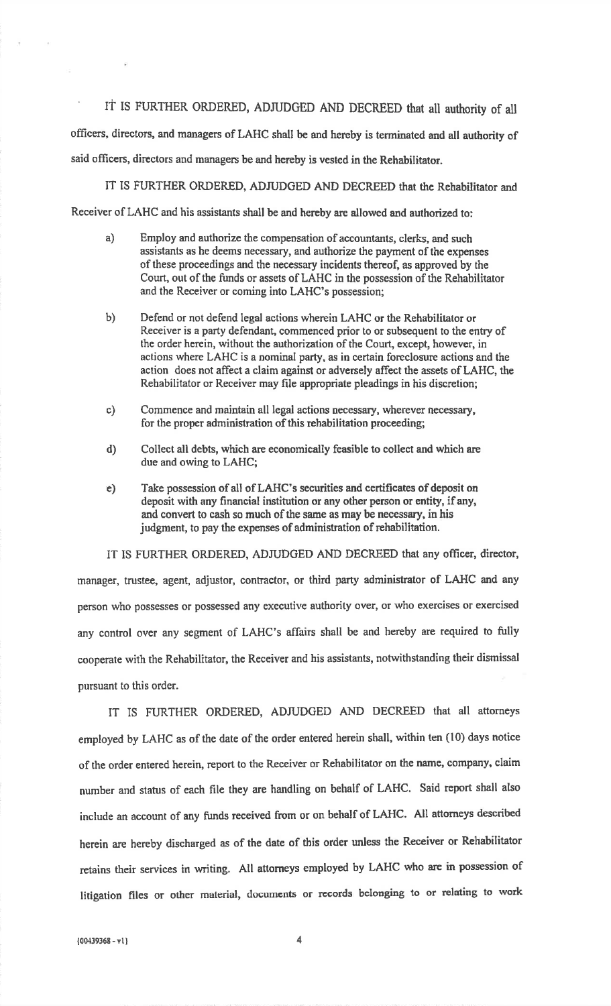IT IS FURTHER ORDERED, ADJUDGED AND DECREED that all authority of all officers, ditectors, and managers of LAHC shall be and hereby is terminated and all authority of

said officers, directors and managers be and hereby is vested in the Rehabilitator.

IT IS FURTHER ORDERED, ADJUDGED AND DECREED that the Rehabilitator and

Receiver of LAHC and his assistants shall be and hereby are allowed and authorized to:

- Employ and authorize the compensation of accounknts, elerks, and such assistants as he deems necessary, and authorize the payment of the expensesof these proceedings and the necessary incidents thereof, as approved by the Court, out of the funds or assets of LAHC in the possession of the Rehabilitatorand the Receiver or coming into LAHC's possession;a)
- b) Defend or not defend legal actions wherein LAHC or the Rehabilitator or Receiver is a party defendant, commenced prior to or subsequent to the entry ofthe order herein, without the authorization of the Court, except, however, in actions where LAHC is a nominal party, as in certain foreclosure actions and the action does not affect a claim against or adversely affect the assets of LAHC, theRehabilitator or Receiver may file appropriate pleadings in his discretion;
- Commence and maintain all legal actions necessary, wherever necessary, for the proper administration of this rehabilitation proceeding; c)
- Collect all debts, which are eeonomically feasible to collect and which aredue and owing to LAHC;d)
- e) Take possession of all of LAHC's securities and certificates of deposit ondeposit with any financial institution or any other person or entity, if any, and convert to cash so much of the same as may be necessary, in hisjudgment, to pay the expenses of administration of rehabilitation.

iT IS FURTHER ORDERED, ADJUDGED AND DECREED that any officer, director,manager, trustee, agent, adjustor, contractor, or third party administrator of LAHC and any person who possesses or possessed any exeeutive authority over, or who exercises or exercisedany control over any segment of LAHC's affairs shall be and hereby are required to fullycooperate with the Rehabilitator, the Receiver and his assistants, notwithstanding their dismissal pursuant to this order.

IT IS FURTHER ORDERED, ADruDCED AND DECREED that all attorneysemployed by LAHC as of the date of the order entered herein shall, within ten (10) days noticeof the order entered herein, report to the Receiver or Rehabilitator on the name, company, claimnumber and status of each file they are handling on behalf of LAHC. Said report shall also include an account of any funds received from or on behalf of LAHC. All attorneys describcdherein are hereby discharged as of the date of this order tmless the Receiver or Rehabilitator retains their services in writing. All attorneys employed by LAHC who are in possession of litigation files or other material, documents or records belonging to or relating to work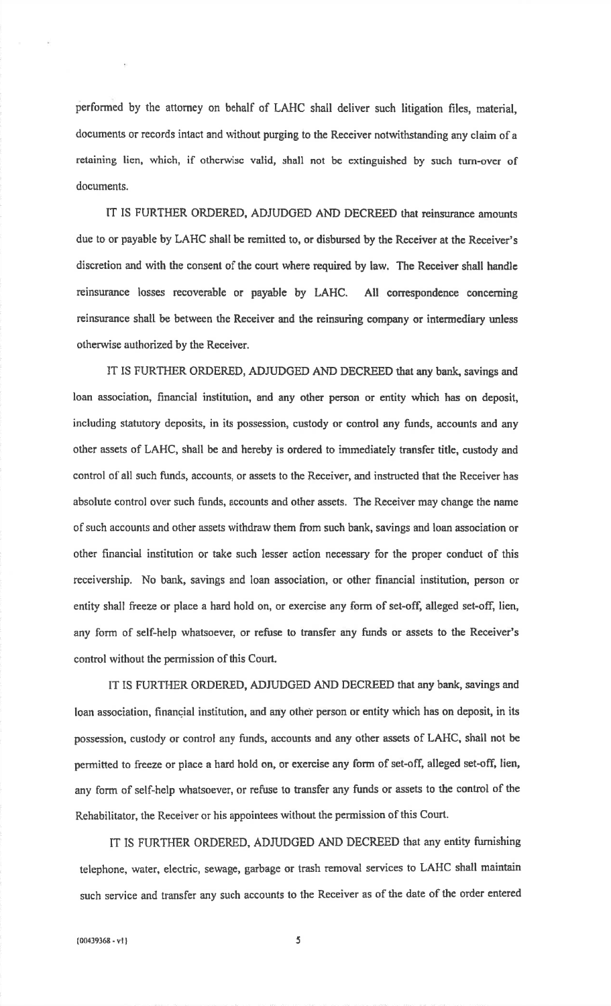performed by the attorney on behalf of LAHC shall deliver such litigation files, material,documents or records intact and without purging to the Receiver notwithstanding any claim of a retaining lien, which, if otherwise valid, shall not be extinguished by such turn-over ofdocuments.

IT IS FURTHER ORDERED, ADJUDGED AND DECREED that reinsurance amounts due to or payable by LAHC shall be remitted to, or disbursed by the Receiver at the Reeeiver'sdiscretion and with the consent of the court where required by law. The Receiver shall handlcreinsurance losses recoverable or payable by LAHC. All correspondence concerning reinsurance shall be between the Receiver and the reinsuring company or intermediary unless otherwise authorized by the Receiver.

IT IS FURTHER ORDERED, ADJUDGED AND DECREED that any bank, savings and loan association, financial institution, and any other person or entity which has on deposit,including statutory deposits, in its possession, custody or control any funds, accounts and anyother assets of LAHC, shall be and hereby is ordered to immediately transfer title, custody andcontrol of all such funds, accounts, or assets to the Receiver, and instructed that the Receiver hasabsolute control over such funds, accounts and other assets. The Receiver may change the nameof such accounts and other assets withdraw them from such bank, savings and loan association orother financial institution or take such lesser action necessary for the proper conduct of thisreceivership. No bank, savings and loan association, or other financial institution, person orentity shall freeze or place a hard hold on, or exercise any form of set-off, alleged set-off, lien, any form of self-help whatsoever, or refuse to transfer any funds or assets to the Receiver's control without the permission of this Court.

IT IS FURTHER ORDERED, ADJUDGED AND DECREED that any bank, savings and loan association, financial institution, and any other person or entity which has on deposit, in its possession, custody or control any funds, accounts and any other assets of LAHC, shall not bepermitted to freeze or place a hard hold on, or exercise any form of set-off, alleged set-off, lien, any form of self-help whatsoever, or refuse to transfer any funds or assets to the control of the Rehabilitator, the Receiver or his appointees without the permission of this Court.

IT IS FURTHER ORDERED, ADJUDGED AND DECREED that any entity turnishingtelephone, water, electric, sewage, garbage or trash removal services to LAHC shall maintainsuch service and transfer any such accounts to the Receiver as of the date of the order entered

 $\sim$  5  $\sim$  5  $\sim$  5  $\sim$  5  $\sim$  5  $\sim$  5  $\sim$  5  $\sim$  5  $\sim$  5  $\sim$  5  $\sim$  5  $\sim$  5  $\sim$  5  $\sim$  5  $\sim$  5  $\sim$  5  $\sim$  5  $\sim$  5  $\sim$  5  $\sim$  5  $\sim$  5  $\sim$  5  $\sim$  5  $\sim$  5  $\sim$  5  $\sim$  5  $\sim$  5  $\sim$  5  $\sim$  5  $\sim$  5  $\sim$  5  $\sim$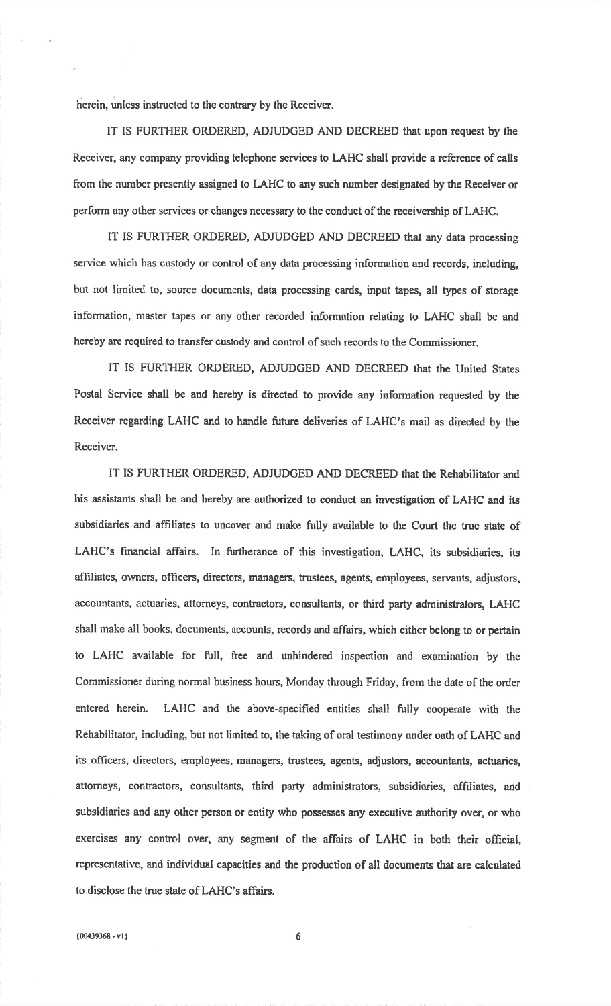herein, unless instructed to the contrary by the Receiver.

IT IS FURTHER ORDERED, ADJUDGED AND DECREED that upon request by the Receiver, any company providing telephone services to LAHC shall provide a reference of calls from the number presently assigned to LAHC to any such number designated by the Receiver or perform any other services or changes necessary to the conduct of the receivership of LAHC.

IT IS FURTHER ORDERED, ADJUDGED AND DECREED that any data processing service which has custody or control of any data processing information and records, including, but not limited to, source documents, data processing cards, input tapes, all types of storageinformation, master tapes or any other recorded information relating to LAHC shall be andhereby are required to transfer custody and control of such records to the Commissioner.

IT IS FURTHER ORDERED, ADJUDCED AND DECREED that the United StatesPostal Service shall be and hereby is directed to provide any information requested by theReceiver regarding LAHC and to handle future deliveries of LAHC's mail as directed by theReceiver.

IT IS FURTHER ORDERED, ADJUDGED AND DECREED that the Rehabilitator and his assistants shall be and hereby are authorized to conduct an investigation of LAHC and itssubsidiaries and affrliates to uncover and make fully available to the Court the true state ofLAHC's financial affairs. In furtherance of this investigation, LAHC, its subsidiaries, itsaffiliates, owners, officers, directors, managers, trustees, agents, employees, servants, adjustors, accountants, actuaries, attorneys, contractors, consultants, or third party administrators, LAHCshall make all books, documents, accounts, records and affairs, which either belong to or pertainto LAHC available for full, free and unhindered inspection and examination by theCommissioner during normal business hours, Monday through Friday, from the date of the orderentered herein. LAHC and the above-specified entities shall fully cooperate with theRehabilitator, including, but not limited to, the taking of oral testimony under oath of LAHC andits officers, directors, employees, managers, trustees, agents, adjustors, accountants, actuaries, attorneys, contractors, consultants, third party administrators, subsidiaries, affiliates, and subsidiaries and any other person or entity who possesses any executive authority over, or whoexercises any control over, any segment of the affairs of LAHC in both their official, representative, and individual capacities and the production of all documents that are calculatedto disclose the true state of LAHC's affairs.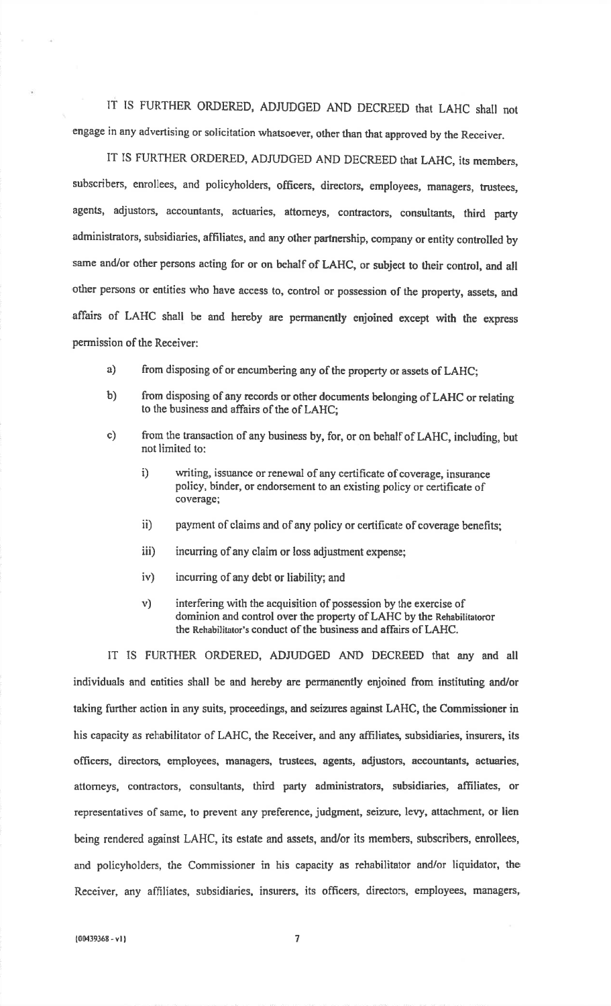IT IS FURTHER ORDERED, ADJUDGED AND DECREED that LAHC shall not engage in any advertising or solicitation whatsoever, other than that approved by the Receiver.

IT IS FURTHER ORDERED, ADJUDGED AND DECREED that LAHC, its members,subscribers, enrollees, and policyholders, officers, directors, employees, managers, trustees, agents, adjustors, accountants, actuaries, attorneys, contractors, consultants, third partyadministrators, subsidiaries, affiliates, and any other partnership, company or entity controlled bysame and/or other persons acting for or on behalf of LAHC, or subject to their control, and all other persons or entities who have access to, control or possession of the property, assets, andaffairs of LAHC shall be and hereby are pennanently enjoined except with the expresspermission of the Receiver:

- a) from disposing of or encumbering any of the property or assets of LAHC;
- b) from disposing of any records or other documents belonging of LAHC or relating to the business and affairs of the of LAHC;
- c) from the transaction of any business by, for, or on behalf of LAHC, including, but not limited to:
	- i) writing, issuance or renewal of any certificate of coverage, insurance policy, binder, or endorsement to an existing policy or certificate ofcoverage;
	- ii) payment of claims and of any policy or certifieate of coverage benefits;
	- iii) incurring of any claim or loss adjustment expense;
	- iv) incurring of any debt or liability; and
	- v) interfering with the acquisition of possession by the exercise ofdominion and control over the property of LAHC by the Rehabilitatoror the Rehabilitator's conduct of the business and affairs of LAHC.

IT IS FURTHER ORDERED, ADJUDGED AND DECREED that any and all individuals and entities shall be and hereby are perrnanently enjoined from instituting and/ortaking further action in any suits, proceedings, and seizures against LAHC, the Commissioner inhis capacity as rehabilitator of LAHC, the Receiver, and any affiliates, subsidiaries, insurers, itsofficers, directors, employees, managers, trustees, lgents, adjustors, accountants, aetuaries, attorneys, contractors, consultants, third party administrators, subsidiaries, affiliates, or representatives of same, to prevent any preference, judgment, seizure, Ievy, attachment, or lienbeing rendered against LAHC, its estate and assets, and/or its members, subscribers, enrollees, and policyholders, the Commissioner in his capacity as rehabilitator and/or liquidator, theReceiver, any affiliates, subsidiaries, insurers, its officers, directors, employees, managers,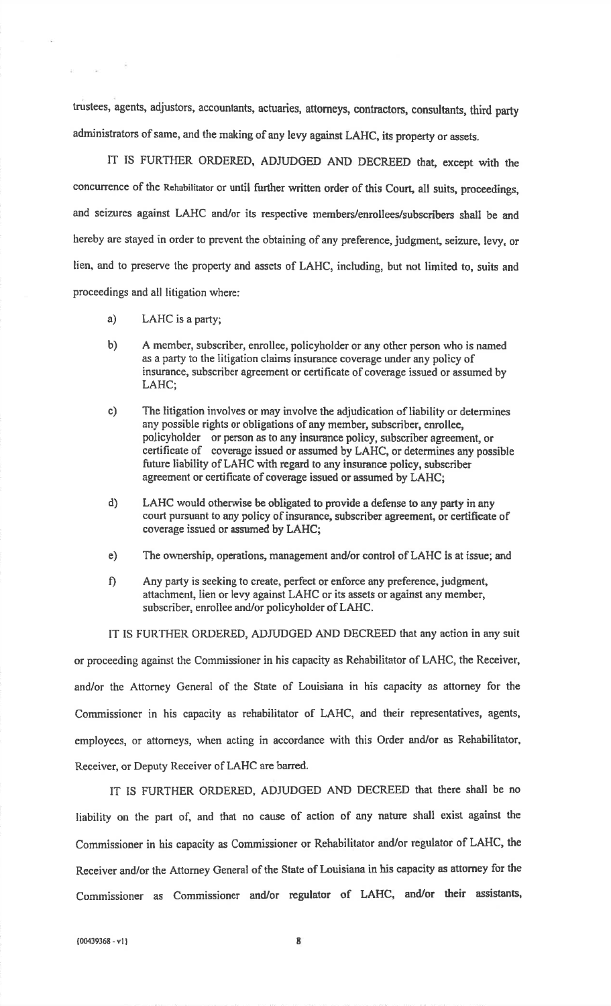trustees, agents, adjustors, accountants, actuaries, attorneys, contractors, conzultants, third partyadministrators of same, and the making of any levy against LAHC, its property or assets.

IT IS FURTHER ORDERED, ADJUDGED AND DECREED that, except with theconcurrence of the Rehabilitator or until further written order of this Court, all suits, proceedings,and seizures against LAHC and/or its respective members/enrollees/subscribers shall be and hereby are stayed in order to prevent the obtaining of any preference, judgment, seizure, levy, orlien, and to preserve the property and assets of LAHC, including, but not limited to, suits andproceedings and all litigation where:

a) LAHC is a party;

 $\sim 10^{-1}$ 

- b) <sup>A</sup>member, subscriber, enrollee, policyholder or any other person who is namedas a party to the litigation claims insurance coverage under any policy of insurance, subscriber agreement or certificate of coverage issued or assumed byLAHC;
- c)The litigation involves or may involve the adjudication of liability or determinesany possible rights or obligations of any member, subscriber, enrollee,policyholder or person as to any insurance policy, subscriber agreement, or certificate of coverage issued or assumed by LAHC, or determines any possible future liability of LAHC with regard to any insurance policy, subscriber agreement or certificate of coverage issued or assumed by LAHC;
- d)LAHC would otherwise be obligated to provide a defense to any party in anycourt pursuant to any policy of insurance, subscriber agreement, or certificate of coverage issued or aszumed by LAHC;
- e) The ownership, operations, management and/or control of LAHC is at issue; and
- f) Any party is seeking to ereate, perfect or enforce any preference, judgment, attachment, lien or levy against LAHC or its assets or against any member,subscriber, enrollee and/or policyholder of LAHC.

IT IS FURTHER ORDERED, ADJUDGED AND DECREED that any action in any suit or proceeding against the Commissioner in his capacity as Rehabilitator of LAHC, the Receiver,and/or the Attorney General of the State of Louisiana in his capacity as attorney for the Commissioner in his capacity as rehabilitator of LAHC, and their representatives, agents, employees, or attorneys, when acting in accordance with this Order and/or as Rehabilitator, Receiver, or Deputy Receiver of LAHC are barred.

IT IS FURTHER ORDERED, ADJUDGED AND DECREED that there shall be no liability an the part of, and that no cause of action of any nature shall exist against theCommissioner in his capacity as Commissioner or Rehabilitator and/or regulator of LAHC, theReceiver and/or the Attorney General of the State of Louisiana in his capacity as attorney for theCommissioner as Commissioner and/or regulator of LAHC, and/or their assistants,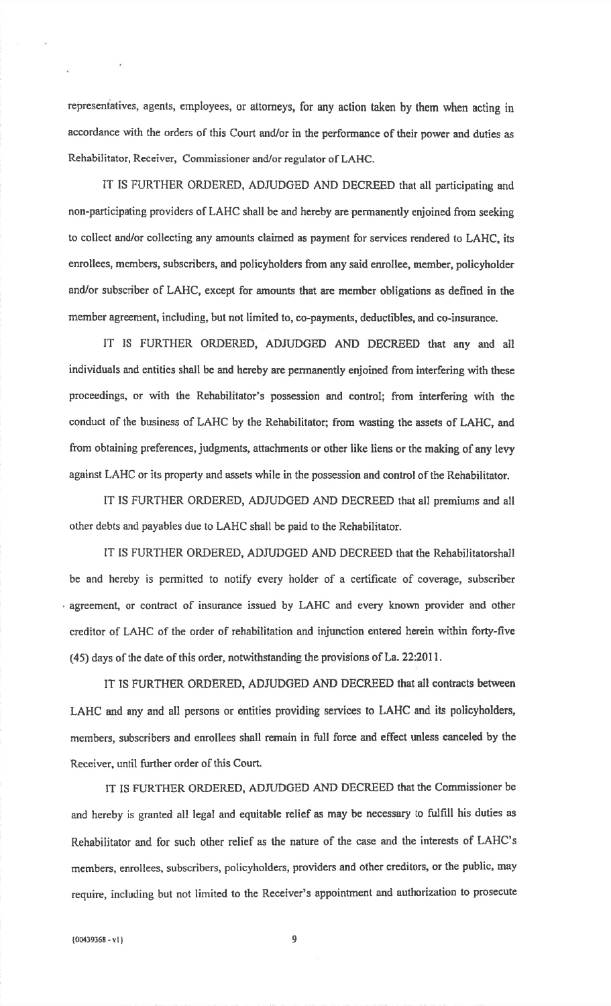representatives, agents, employees, or attorneys, for any action taken by them when acting in accordance with the orders of this Court and/or in the performance of their power and duties asRehabilitator, Receiver, Commissioner and/or regulator of LAHC.

IT IS FURTHER ORDERED, ADJUDGED AND DECREED that all participating and non-participating providers of LAHC shall be and hereby are permanently enjoined from seekingto collect and/or collecting any amounts claimed as payment for services rendered to LAHC, itsenrollees, members, subscribers, and policyholders from any said enrollee, member, policyholderand/or subscriber of LAHC, except for amounts that are member obligations as defined in themember agreement, including, but not limited to, co-payments, deductibles, and co-insurance.

IT IS FURTHER ORDERED, ADJUDGED AND DECREED that any and allindividuals and entities shall be and hereby are permancatly enjoined from interfering with theseproceedings, or with the Rehabilitator's possession and control; from interfering with theconduct of the business of LAHC by the Rehabilitator; from wasting the assets of LAHC, and from obtaining preferences, judgments, attachments or other like liens or the making of any levyagainst LAHC or its property and assets while in the possession and control of the Rehabilitator.

IT IS FURTHER ORDERED, ADJUDGED AND DECREED that all premiums and allother debts and payables due to LAHC shall be paid to the Rehabilitator

IT IS FURTHER ORDERED, ADJUDGED AND DECREED that the Rehabilitatorshallbe and hereby is permitted to notify every holder of a certificate of coverage, subscriber agreement, or contract of insurance issued by LAHC and every known provider and other creditor of LAHC of the order of rehabilitation and injunction entered herein within forty-five (45) days of the date of this order, noturithstanding the provisions of La. 22:2011.

IT IS FURTHER ORDERED, ADJUDGED AND DECREED that all contracts betweenLAHC and any and all persons or entities providing services to LAHC and its policyholders, members, subscribers and enrollees shall remain in full force and effect unless canceled by theReceiver, until further order of this Court.

IT IS FURTHER ORDERED, ADJUDGED AND DECREED that the Commissioner be and hereby is granted all legal and equitable relief as may be necessary to fulfrll his duties as Rehabililator and for such other relief as the nature of the case and the interests of LAHC'smembers, enrollees, subscribers, policyholders, providers and other creditors, or the public, may require, including but not limited to the Receiver's appointment and authorization to prosecute

 $\overline{\phantom{a}}$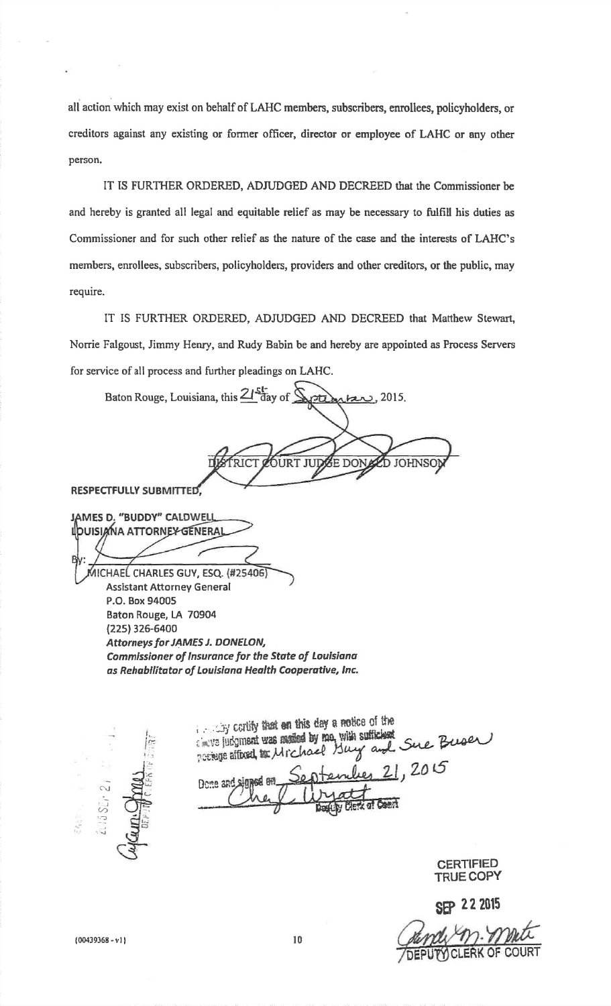all action which may exist on behalf of LAHC members, subscribers, enrollees, policyholders, or creditors against any existing or former officer, director or employee of LAHC or any other person.

IT IS FURTHER ORDERED, ADJUDGED AND DECREED that the Commissioner be and hereby is granted all legal and equitable relief as may be necessary to fulfill his duties as Commissioner and for such other relief as the nature of the case and the interests of LAHC's members, enrollees, subscribers, policyholders, providers and other creditors, or the public, may require.

IT IS FURTHER ORDERED, ADJUDGED AND DECREED that Matthew Stewart, Norrie Falgoust, Jimmy Henry, and Rudy Babin be and hereby are appointed as Process Servers for service of all process and further pleadings on LAHC.

Baton Rouge, Louisiana, this 21 day of  $km$ , 2015. FRICT ÓURT JUD E DOI D JOHNSO **RESPECTFULLY SUBMITTED** JAMES D, "BUDDY" CALDWELL **IDUISIANA ATTORNEY GENERA** AICHAEL CHARLES GUY, ESQ. (#25406 **Assistant Attorney General** P.O. Box 94005 Baton Rouge, LA 70904 (225) 326-6400 Attorneys for JAMES J. DONELON, **Commissioner of Insurance for the State of Louisiana** as Rehabilitator of Louisiana Health Cooperative, Inc.

cartify that on this day a notice of the cincup judgment was maded by me, with sufficient possege affected to Michael Buy and Sue Buser 0 21,2015 Done and

> **CERTIFIED TRUE COPY**

**SEP 22 2015** 

 ${00439368 - v1}$